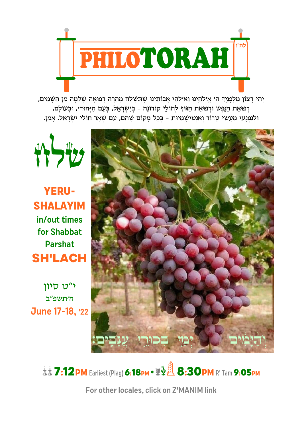

יְהִי רָצוֹן מִלְפְנֶיךָ ה׳ אֱילֹהֵינוּ וֵאילֹהֵי אֲבוֹתֵינוּ שֶׁתִּשְׁלַח מְהֵרָה רְפוּאָה שְׁלֵמְה מִן הַשָּׁמַיִם, רְפוּאַת הַנֶּפֵשׁ וּרְפוּאַת הַגּוּף לְחוֹלֵי קוֹרוֹנָה - בִּיְשְׂרָאֵל, בְּעָם הַיְּהוּדִי, וּבָעוֹלַם, וּלְנְפְגָעֵי מַעֲשֵׂי טֶרוֹר וְאַנְטִישֶׁמִיוּת - בְּכָל מָקוֹם שֶׁהֵם, עִם שְׁאָר חוֹלֵי יִשְׂרָאֵל. אָמֵן.



**YERU-SHALAYIM** in/out times for Shabbat **Parshat SH'LACH** 

י"ט סיוו ה׳תשפ״ב June 17-18, '22



**LE 7:12PM** Earliest (Plag) 6:18PM • **THA 8:30PM** R' Tam 9:05PM

For other locales, click on Z'MANIM link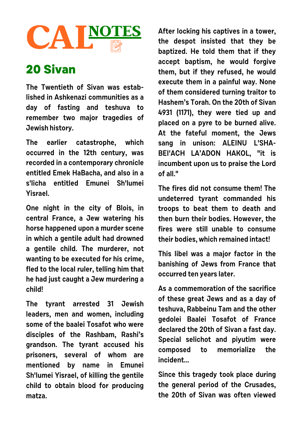## **CAL** <sup>|</sup> **NOTES**

## **20 Sivan**

**The Twentieth of Sivan was established in Ashkenazi communities as a day of fasting and teshuva to remember two major tragedies of Jewish history.**

**The earlier catastrophe, which occurred in the 12th century, was recorded in a contemporary chronicle entitled Emek HaBacha, and also in a s'licha entitled Emunei Sh'lumei Yisrael.**

**One night in the city of Blois, in central France, a Jew watering his horse happened upon a murder scene in which a gentile adult had drowned a gentile child. The murderer, not wanting to be executed for his crime, fled to the local ruler, telling him that he had just caught a Jew murdering a child!** 

**The tyrant arrested 31 Jewish leaders, men and women, including some of the baalei Tosafot who were disciples of the Rashbam, Rashi's grandson. The tyrant accused his prisoners, several of whom are mentioned by name in Emunei Sh'lumei Yisrael, of killing the gentile child to obtain blood for producing matza.**

**After locking his captives in a tower, the despot insisted that they be baptized. He told them that if they accept baptism, he would forgive them, but if they refused, he would execute them in a painful way. None of them considered turning traitor to Hashem's Torah. On the 20th of Sivan 4931 (1171), they were tied up and placed on a pyre to be burned alive. At the fateful moment, the Jews sang in unison: ALEINU L'SHA-BEI'ACH LA'ADON HAKOL, "it is incumbent upon us to praise the Lord of all."** 

**The fires did not consume them! The undeterred tyrant commanded his troops to beat them to death and then burn their bodies. However, the fires were still unable to consume their bodies, which remained intact!**

**This libel was a major factor in the banishing of Jews from France that occurred ten years later.** 

**As a commemoration of the sacrifice of these great Jews and as a day of teshuva, Rabbeinu Tam and the other gedolei Baalei Tosafot of France declared the 20th of Sivan a fast day. Special selichot and piyutim were composed to memorialize the incident...**

**Since this tragedy took place during the general period of the Crusades, the 20th of Sivan was often viewed**